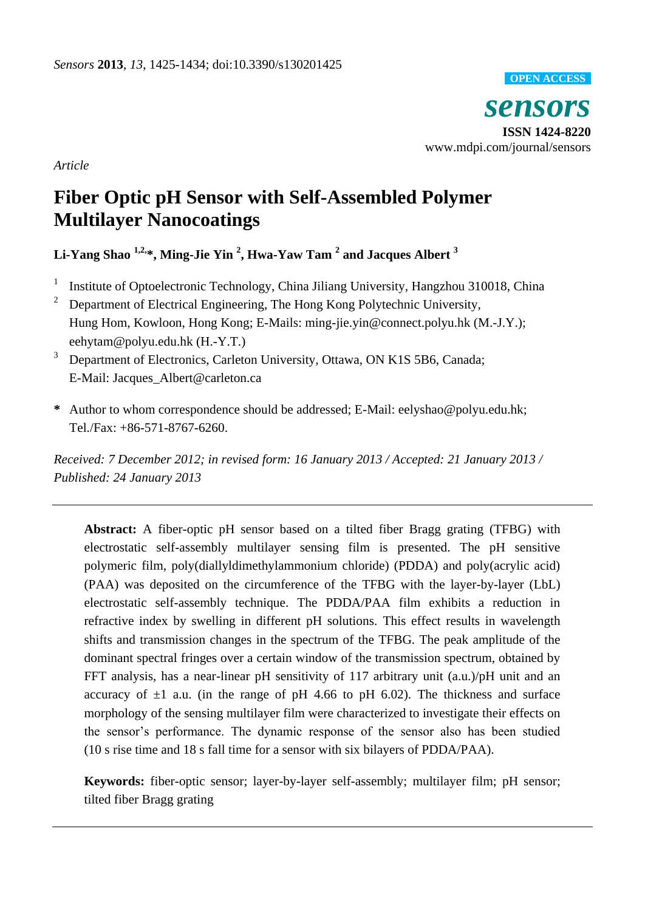

*Article*

# **Fiber Optic pH Sensor with Self-Assembled Polymer Multilayer Nanocoatings**

**Li-Yang Shao 1,2, \*, Ming-Jie Yin <sup>2</sup> , Hwa-Yaw Tam <sup>2</sup> and Jacques Albert <sup>3</sup>**

- 1 Institute of Optoelectronic Technology, China Jiliang University, Hangzhou 310018, China
- <sup>2</sup> Department of Electrical Engineering, The Hong Kong Polytechnic University, Hung Hom, Kowloon, Hong Kong; E-Mails: ming-jie.yin@connect.polyu.hk (M.-J.Y.); eehytam@polyu.edu.hk (H.-Y.T.)
- <sup>3</sup> Department of Electronics, Carleton University, Ottawa, ON K1S 5B6, Canada; E-Mail: Jacques\_Albert@carleton.ca
- **\*** Author to whom correspondence should be addressed; E-Mail: eelyshao@polyu.edu.hk; Tel./Fax: +86-571-8767-6260.

*Received: 7 December 2012; in revised form: 16 January 2013 / Accepted: 21 January 2013 / Published: 24 January 2013*

**Abstract:** A fiber-optic pH sensor based on a tilted fiber Bragg grating (TFBG) with electrostatic self-assembly multilayer sensing film is presented. The pH sensitive polymeric film, poly(diallyldimethylammonium chloride) (PDDA) and poly(acrylic acid) (PAA) was deposited on the circumference of the TFBG with the layer-by-layer (LbL) electrostatic self-assembly technique. The PDDA/PAA film exhibits a reduction in refractive index by swelling in different pH solutions. This effect results in wavelength shifts and transmission changes in the spectrum of the TFBG. The peak amplitude of the dominant spectral fringes over a certain window of the transmission spectrum, obtained by FFT analysis, has a near-linear pH sensitivity of 117 arbitrary unit (a.u.)/pH unit and an accuracy of  $\pm 1$  a.u. (in the range of pH 4.66 to pH 6.02). The thickness and surface morphology of the sensing multilayer film were characterized to investigate their effects on the sensor's performance. The dynamic response of the sensor also has been studied (10 s rise time and 18 s fall time for a sensor with six bilayers of PDDA/PAA).

**Keywords:** fiber-optic sensor; layer-by-layer self-assembly; multilayer film; pH sensor; tilted fiber Bragg grating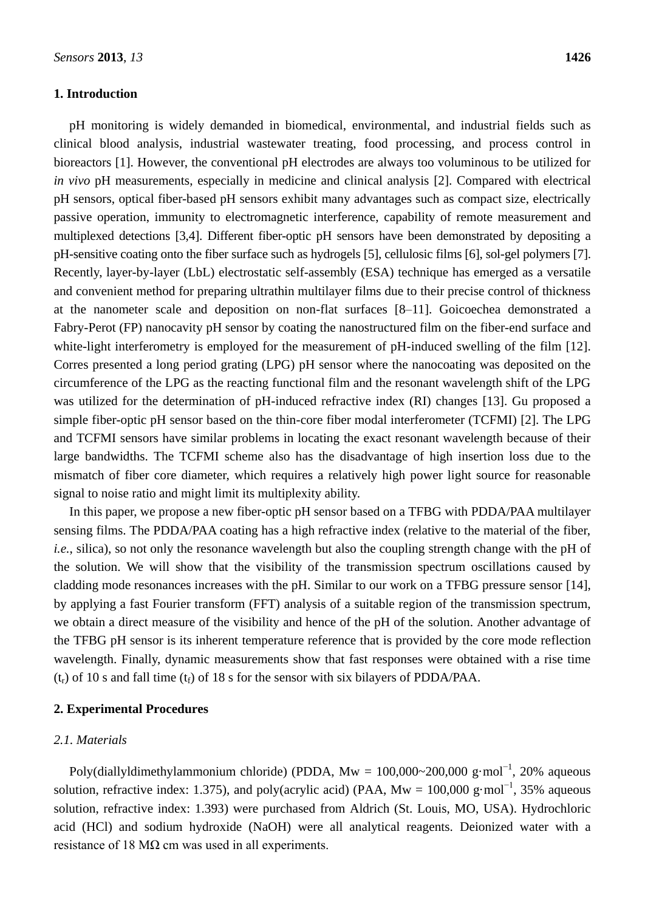## **1. Introduction**

pH monitoring is widely demanded in biomedical, environmental, and industrial fields such as clinical blood analysis, industrial wastewater treating, food processing, and process control in bioreactors [1]. However, the conventional pH electrodes are always too voluminous to be utilized for *in vivo* pH measurements, especially in medicine and clinical analysis [2]. Compared with electrical pH sensors, optical fiber-based pH sensors exhibit many advantages such as compact size, electrically passive operation, immunity to electromagnetic interference, capability of remote measurement and multiplexed detections [3,4]. Different fiber-optic pH sensors have been demonstrated by depositing a pH-sensitive coating onto the fiber surface such as hydrogels [5], cellulosic films [6], sol-gel polymers [7]. Recently, layer-by-layer (LbL) electrostatic self-assembly (ESA) technique has emerged as a versatile and convenient method for preparing ultrathin multilayer films due to their precise control of thickness at the nanometer scale and deposition on non-flat surfaces [8–11]. Goicoechea demonstrated a Fabry-Perot (FP) nanocavity pH sensor by coating the nanostructured film on the fiber-end surface and white-light interferometry is employed for the measurement of pH-induced swelling of the film [12]. Corres presented a long period grating (LPG) pH sensor where the nanocoating was deposited on the circumference of the LPG as the reacting functional film and the resonant wavelength shift of the LPG was utilized for the determination of pH-induced refractive index (RI) changes [13]. Gu proposed a simple fiber-optic pH sensor based on the thin-core fiber modal interferometer (TCFMI) [2]. The LPG and TCFMI sensors have similar problems in locating the exact resonant wavelength because of their large bandwidths. The TCFMI scheme also has the disadvantage of high insertion loss due to the mismatch of fiber core diameter, which requires a relatively high power light source for reasonable signal to noise ratio and might limit its multiplexity ability.

In this paper, we propose a new fiber-optic pH sensor based on a TFBG with PDDA/PAA multilayer sensing films. The PDDA/PAA coating has a high refractive index (relative to the material of the fiber, *i.e.*, silica), so not only the resonance wavelength but also the coupling strength change with the pH of the solution. We will show that the visibility of the transmission spectrum oscillations caused by cladding mode resonances increases with the pH. Similar to our work on a TFBG pressure sensor [14], by applying a fast Fourier transform (FFT) analysis of a suitable region of the transmission spectrum, we obtain a direct measure of the visibility and hence of the pH of the solution. Another advantage of the TFBG pH sensor is its inherent temperature reference that is provided by the core mode reflection wavelength. Finally, dynamic measurements show that fast responses were obtained with a rise time  $(t_r)$  of 10 s and fall time  $(t_f)$  of 18 s for the sensor with six bilayers of PDDA/PAA.

## **2. Experimental Procedures**

# *2.1. Materials*

Poly(diallyldimethylammonium chloride) (PDDA, Mw = 100,000~200,000 g mol<sup>-1</sup>, 20% aqueous solution, refractive index: 1.375), and poly(acrylic acid) (PAA, Mw = 100,000 g mol<sup>-1</sup>, 35% aqueous solution, refractive index: 1.393) were purchased from Aldrich (St. Louis, MO, USA). Hydrochloric acid (HCl) and sodium hydroxide (NaOH) were all analytical reagents. Deionized water with a resistance of 18 MΩ cm was used in all experiments.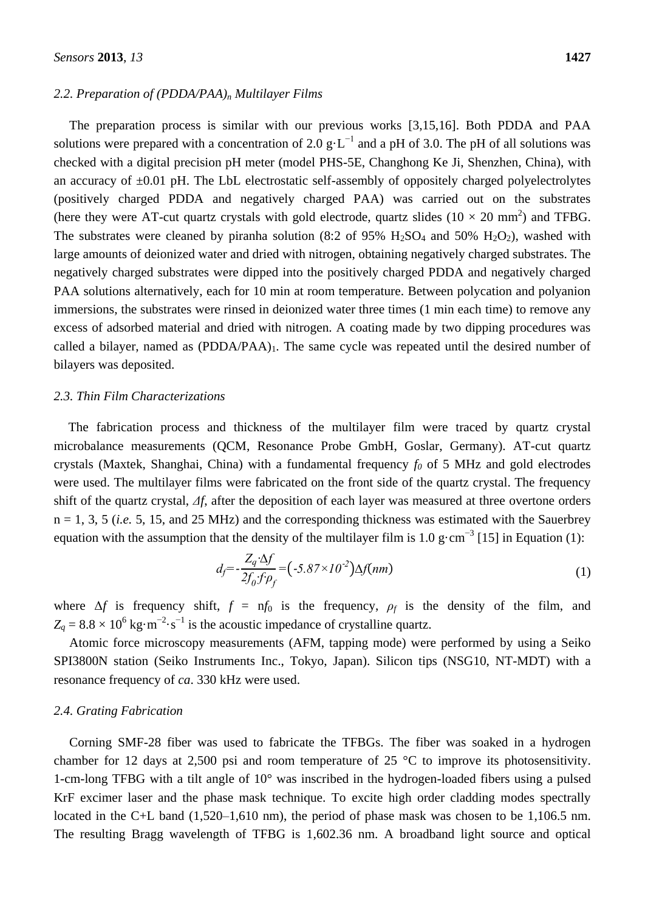#### *2.2. Preparation of (PDDA/PAA)<sup>n</sup> Multilayer Films*

The preparation process is similar with our previous works [3,15,16]. Both PDDA and PAA solutions were prepared with a concentration of 2.0 g  $L^{-1}$  and a pH of 3.0. The pH of all solutions was checked with a digital precision pH meter (model PHS-5E, Changhong Ke Ji, Shenzhen, China), with an accuracy of  $\pm 0.01$  pH. The LbL electrostatic self-assembly of oppositely charged polyelectrolytes (positively charged PDDA and negatively charged PAA) was carried out on the substrates (here they were AT-cut quartz crystals with gold electrode, quartz slides  $(10 \times 20 \text{ mm}^2)$  and TFBG. The substrates were cleaned by piranha solution (8:2 of 95%  $H_2SO_4$  and 50%  $H_2O_2$ ), washed with large amounts of deionized water and dried with nitrogen, obtaining negatively charged substrates. The negatively charged substrates were dipped into the positively charged PDDA and negatively charged PAA solutions alternatively, each for 10 min at room temperature. Between polycation and polyanion immersions, the substrates were rinsed in deionized water three times (1 min each time) to remove any excess of adsorbed material and dried with nitrogen. A coating made by two dipping procedures was called a bilayer, named as  $(PDDA/PAA)_1$ . The same cycle was repeated until the desired number of bilayers was deposited.

## *2.3. Thin Film Characterizations*

The fabrication process and thickness of the multilayer film were traced by quartz crystal microbalance measurements (QCM, Resonance Probe GmbH, Goslar, Germany). AT-cut quartz crystals (Maxtek, Shanghai, China) with a fundamental frequency *f<sup>0</sup>* of 5 MHz and gold electrodes were used. The multilayer films were fabricated on the front side of the quartz crystal. The frequency shift of the quartz crystal, *Δf*, after the deposition of each layer was measured at three overtone orders  $n = 1, 3, 5$  (*i.e.* 5, 15, and 25 MHz) and the corresponding thickness was estimated with the Sauerbrey equation with the assumption that the density of the multilayer film is 1.0 g cm<sup>-3</sup> [15] in Equation (1):

$$
d_f = -\frac{Z_q \Delta f}{2f_0 f \rho_f} = (-5.87 \times 10^{-2}) \Delta f(nm)
$$
\n(1)

where  $\Delta f$  is frequency shift,  $f = nf_0$  is the frequency,  $\rho_f$  is the density of the film, and  $Z_q = 8.8 \times 10^6$  kg m<sup>-2</sup> s<sup>-1</sup> is the acoustic impedance of crystalline quartz.

Atomic force microscopy measurements (AFM, tapping mode) were performed by using a Seiko SPI3800N station (Seiko Instruments Inc., Tokyo, Japan). Silicon tips (NSG10, NT-MDT) with a resonance frequency of *ca*. 330 kHz were used.

#### *2.4. Grating Fabrication*

Corning SMF-28 fiber was used to fabricate the TFBGs. The fiber was soaked in a hydrogen chamber for 12 days at 2,500 psi and room temperature of 25  $\degree$  C to improve its photosensitivity. 1-cm-long TFBG with a tilt angle of 10° was inscribed in the hydrogen-loaded fibers using a pulsed KrF excimer laser and the phase mask technique. To excite high order cladding modes spectrally located in the C+L band (1,520–1,610 nm), the period of phase mask was chosen to be 1,106.5 nm. The resulting Bragg wavelength of TFBG is 1,602.36 nm. A broadband light source and optical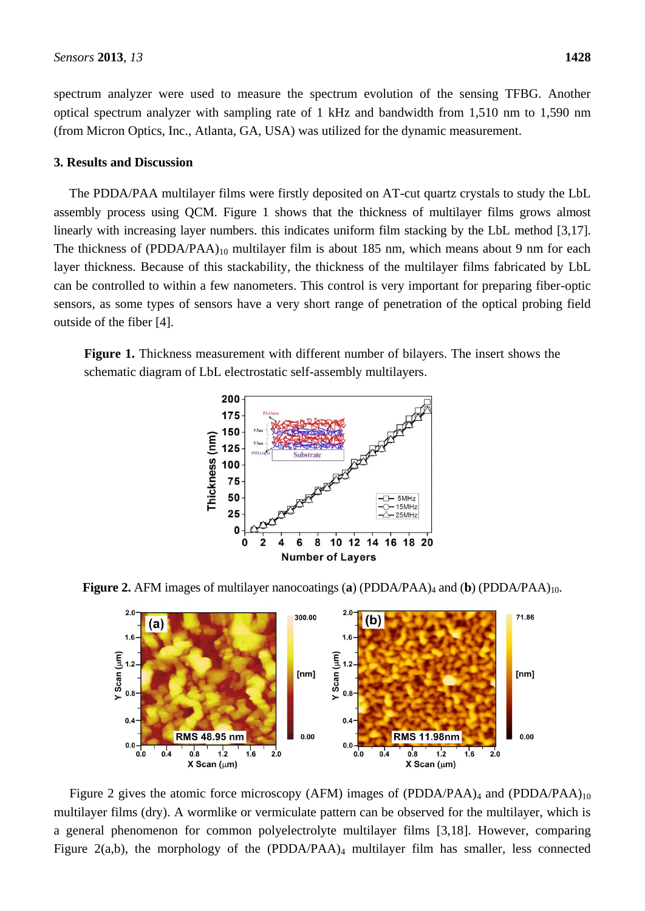spectrum analyzer were used to measure the spectrum evolution of the sensing TFBG. Another optical spectrum analyzer with sampling rate of 1 kHz and bandwidth from 1,510 nm to 1,590 nm (from Micron Optics, Inc., Atlanta, GA, USA) was utilized for the dynamic measurement.

## **3. Results and Discussion**

The PDDA/PAA multilayer films were firstly deposited on AT-cut quartz crystals to study the LbL assembly process using QCM. Figure 1 shows that the thickness of multilayer films grows almost linearly with increasing layer numbers, this indicates uniform film stacking by the LbL method [3,17]. The thickness of (PDDA/PAA)<sub>10</sub> multilayer film is about 185 nm, which means about 9 nm for each layer thickness. Because of this stackability, the thickness of the multilayer films fabricated by LbL can be controlled to within a few nanometers. This control is very important for preparing fiber-optic sensors, as some types of sensors have a very short range of penetration of the optical probing field outside of the fiber [4].

**Figure 1.** Thickness measurement with different number of bilayers. The insert shows the schematic diagram of LbL electrostatic self-assembly multilayers.



**Figure 2.** AFM images of multilayer nanocoatings (**a**) (PDDA/PAA)<sub>4</sub> and (**b**) (PDDA/PAA)<sub>10</sub>.



Figure 2 gives the atomic force microscopy (AFM) images of (PDDA/PAA)<sub>4</sub> and (PDDA/PAA)<sub>10</sub> multilayer films (dry). A wormlike or vermiculate pattern can be observed for the multilayer, which is a general phenomenon for common polyelectrolyte multilayer films [3,18]. However, comparing Figure 2(a,b), the morphology of the (PDDA/PAA)<sup>4</sup> multilayer film has smaller, less connected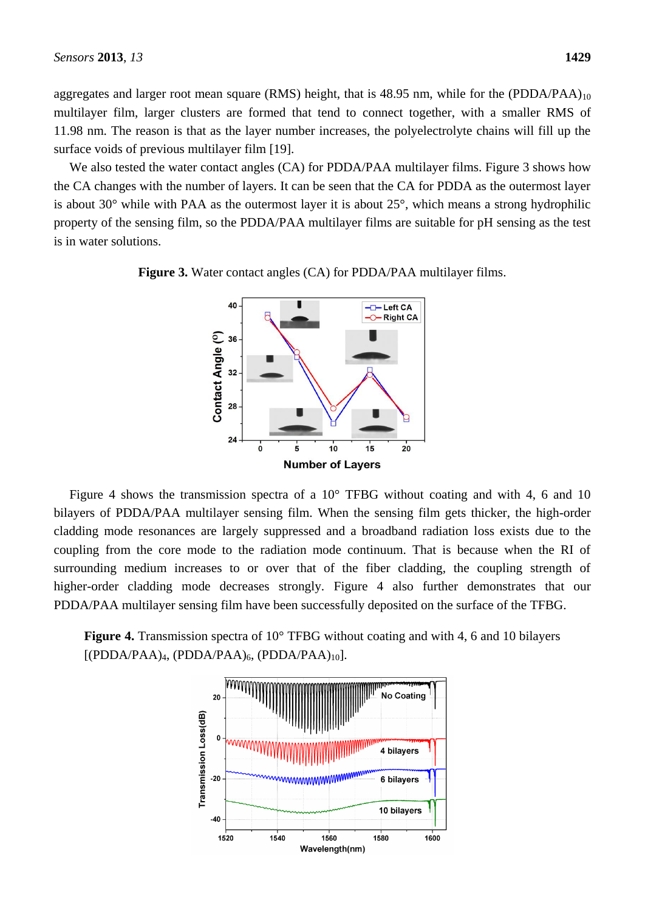aggregates and larger root mean square (RMS) height, that is 48.95 nm, while for the (PDDA/PAA) $_{10}$ multilayer film, larger clusters are formed that tend to connect together, with a smaller RMS of 11.98 nm. The reason is that as the layer number increases, the polyelectrolyte chains will fill up the surface voids of previous multilayer film [19].

We also tested the water contact angles (CA) for PDDA/PAA multilayer films. Figure 3 shows how the CA changes with the number of layers. It can be seen that the CA for PDDA as the outermost layer is about 30° while with PAA as the outermost layer it is about 25°, which means a strong hydrophilic property of the sensing film, so the PDDA/PAA multilayer films are suitable for pH sensing as the test is in water solutions.

> 40  $-L$ eft CA **Right CA** Contact Angle (°)<br>
> a a a 24  $\dot{\mathbf{o}}$  $10$  $15$  $20$ Ė **Number of Layers**

Figure 4 shows the transmission spectra of a  $10^{\circ}$  TFBG without coating and with 4, 6 and 10 bilayers of PDDA/PAA multilayer sensing film. When the sensing film gets thicker, the high-order cladding mode resonances are largely suppressed and a broadband radiation loss exists due to the coupling from the core mode to the radiation mode continuum. That is because when the RI of surrounding medium increases to or over that of the fiber cladding, the coupling strength of higher-order cladding mode decreases strongly. Figure 4 also further demonstrates that our

**Figure 4.** Transmission spectra of 10° TFBG without coating and with 4, 6 and 10 bilayers  $[(PDDA/PAA)<sub>4</sub>, (PDDA/PAA)<sub>6</sub>, (PDDA/PAA)<sub>10</sub>].$ 

PDDA/PAA multilayer sensing film have been successfully deposited on the surface of the TFBG.





**Figure 3.** Water contact angles (CA) for PDDA/PAA multilayer films.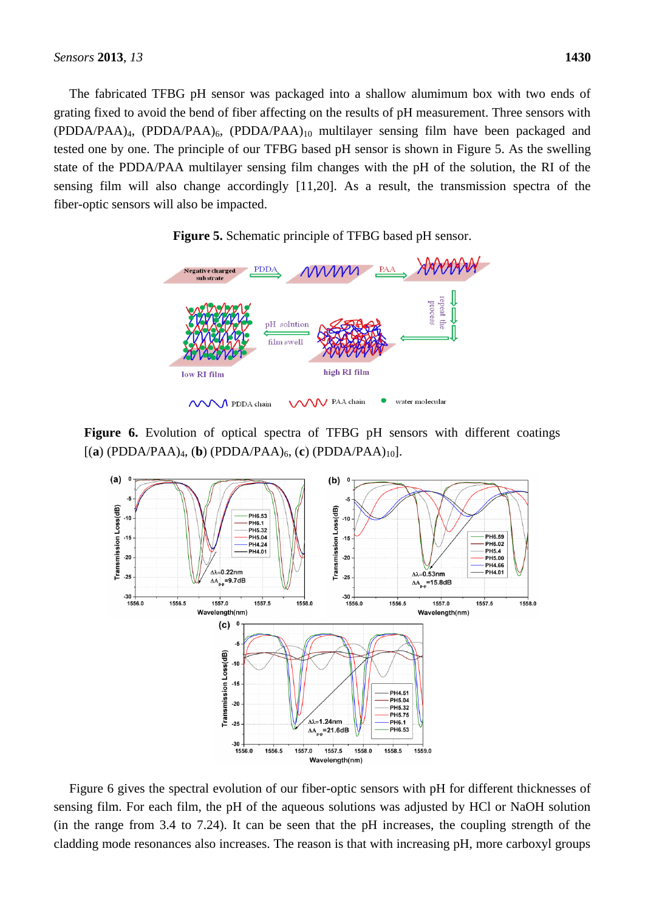The fabricated TFBG pH sensor was packaged into a shallow alumimum box with two ends of grating fixed to avoid the bend of fiber affecting on the results of pH measurement. Three sensors with (PDDA/PAA)4, (PDDA/PAA)6, (PDDA/PAA)<sup>10</sup> multilayer sensing film have been packaged and tested one by one. The principle of our TFBG based pH sensor is shown in Figure 5. As the swelling state of the PDDA/PAA multilayer sensing film changes with the pH of the solution, the RI of the sensing film will also change accordingly [11,20]. As a result, the transmission spectra of the fiber-optic sensors will also be impacted.



**Figure 5.** Schematic principle of TFBG based pH sensor.

**Figure 6.** Evolution of optical spectra of TFBG pH sensors with different coatings  $[(a) (PDDA/PAA)_4, (b) (PDDA/PAA)_6, (c) (PDDA/PAA)_{10}].$ 



Figure 6 gives the spectral evolution of our fiber-optic sensors with pH for different thicknesses of sensing film. For each film, the pH of the aqueous solutions was adjusted by HCl or NaOH solution (in the range from 3.4 to 7.24). It can be seen that the pH increases, the coupling strength of the cladding mode resonances also increases. The reason is that with increasing pH, more carboxyl groups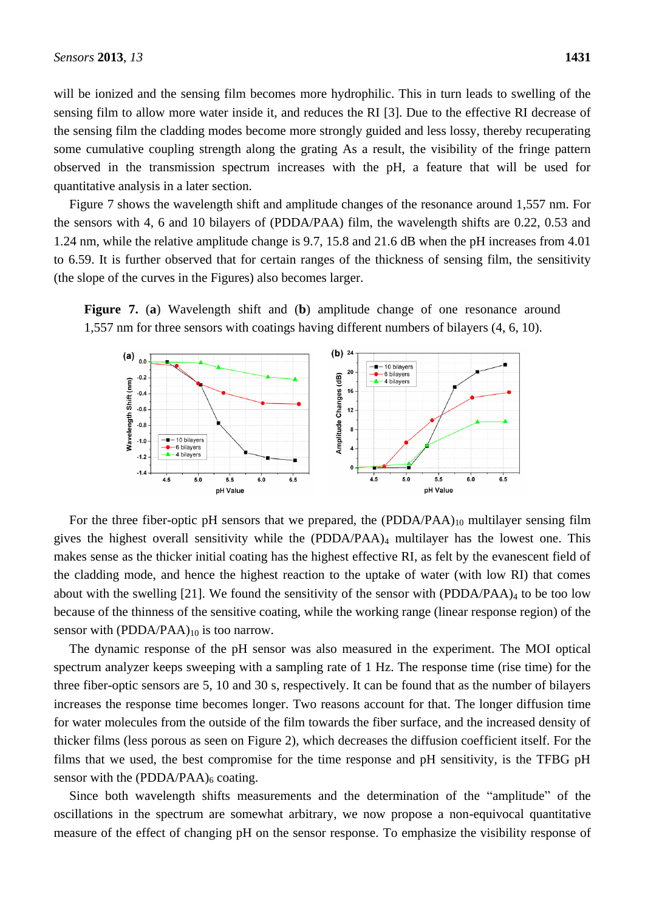will be ionized and the sensing film becomes more hydrophilic. This in turn leads to swelling of the sensing film to allow more water inside it, and reduces the RI [3]. Due to the effective RI decrease of the sensing film the cladding modes become more strongly guided and less lossy, thereby recuperating some cumulative coupling strength along the grating As a result, the visibility of the fringe pattern observed in the transmission spectrum increases with the pH, a feature that will be used for quantitative analysis in a later section.

Figure 7 shows the wavelength shift and amplitude changes of the resonance around 1,557 nm. For the sensors with 4, 6 and 10 bilayers of (PDDA/PAA) film, the wavelength shifts are 0.22, 0.53 and 1.24 nm, while the relative amplitude change is 9.7, 15.8 and 21.6 dB when the pH increases from 4.01 to 6.59. It is further observed that for certain ranges of the thickness of sensing film, the sensitivity (the slope of the curves in the Figures) also becomes larger.





For the three fiber-optic pH sensors that we prepared, the  $(PDDA/PAA)_{10}$  multilayer sensing film gives the highest overall sensitivity while the (PDDA/PAA)<sup>4</sup> multilayer has the lowest one. This makes sense as the thicker initial coating has the highest effective RI, as felt by the evanescent field of the cladding mode, and hence the highest reaction to the uptake of water (with low RI) that comes about with the swelling [21]. We found the sensitivity of the sensor with  $(PDDA/PAA)_4$  to be too low because of the thinness of the sensitive coating, while the working range (linear response region) of the sensor with  $(PDDA/PAA)_{10}$  is too narrow.

The dynamic response of the pH sensor was also measured in the experiment. The MOI optical spectrum analyzer keeps sweeping with a sampling rate of 1 Hz. The response time (rise time) for the three fiber-optic sensors are 5, 10 and 30 s, respectively. It can be found that as the number of bilayers increases the response time becomes longer. Two reasons account for that. The longer diffusion time for water molecules from the outside of the film towards the fiber surface, and the increased density of thicker films (less porous as seen on Figure 2), which decreases the diffusion coefficient itself. For the films that we used, the best compromise for the time response and pH sensitivity, is the TFBG pH sensor with the  $(PDDA/PAA)_6$  coating.

Since both wavelength shifts measurements and the determination of the "amplitude" of the oscillations in the spectrum are somewhat arbitrary, we now propose a non-equivocal quantitative measure of the effect of changing pH on the sensor response. To emphasize the visibility response of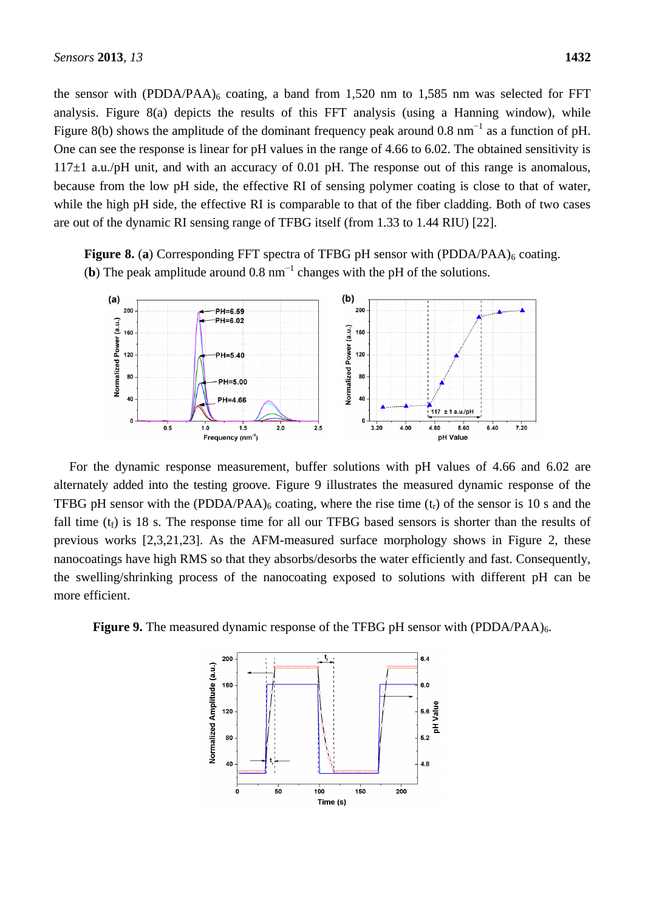the sensor with (PDDA/PAA) $_6$  coating, a band from 1,520 nm to 1,585 nm was selected for FFT analysis. Figure 8(a) depicts the results of this FFT analysis (using a Hanning window), while Figure 8(b) shows the amplitude of the dominant frequency peak around 0.8 nm<sup>-1</sup> as a function of pH. One can see the response is linear for pH values in the range of 4.66 to 6.02. The obtained sensitivity is  $117\pm1$  a.u./pH unit, and with an accuracy of 0.01 pH. The response out of this range is anomalous, because from the low pH side, the effective RI of sensing polymer coating is close to that of water, while the high pH side, the effective RI is comparable to that of the fiber cladding. Both of two cases are out of the dynamic RI sensing range of TFBG itself (from 1.33 to 1.44 RIU) [22].



pH Value

Frequency (nm<sup>-1</sup>)

**Figure 8.** (a) Corresponding FFT spectra of TFBG pH sensor with (PDDA/PAA)<sub>6</sub> coating. (**b**) The peak amplitude around  $0.8 \text{ nm}^{-1}$  changes with the pH of the solutions.

For the dynamic response measurement, buffer solutions with pH values of 4.66 and 6.02 are alternately added into the testing groove. Figure 9 illustrates the measured dynamic response of the TFBG pH sensor with the (PDDA/PAA)<sub>6</sub> coating, where the rise time  $(t_r)$  of the sensor is 10 s and the fall time  $(t_f)$  is 18 s. The response time for all our TFBG based sensors is shorter than the results of previous works [2,3,21,23]. As the AFM-measured surface morphology shows in Figure 2, these nanocoatings have high RMS so that they absorbs/desorbs the water efficiently and fast. Consequently, the swelling/shrinking process of the nanocoating exposed to solutions with different pH can be more efficient.

**Figure 9.** The measured dynamic response of the TFBG pH sensor with (PDDA/PAA)<sub>6</sub>.

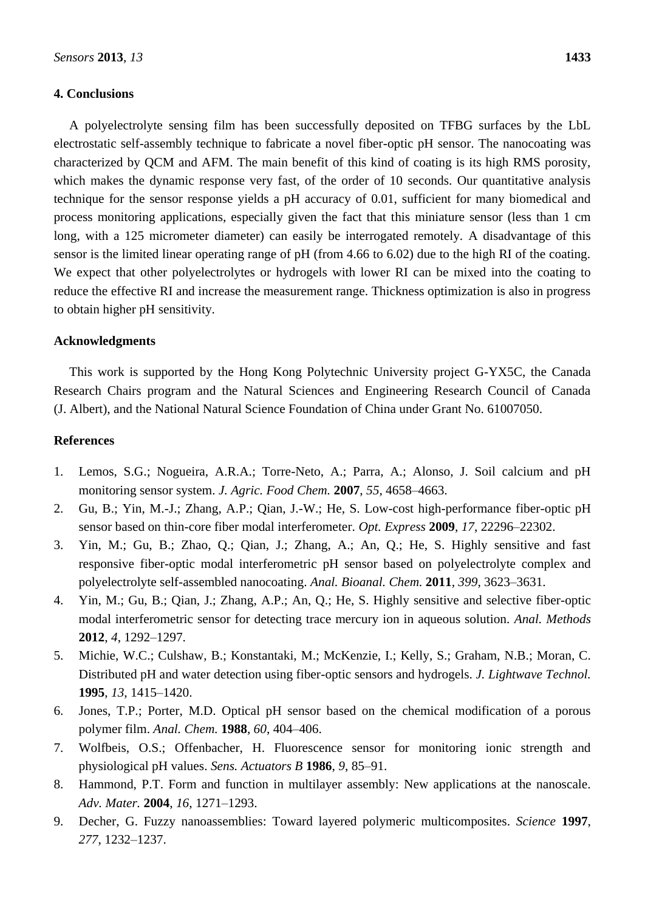## **4. Conclusions**

A polyelectrolyte sensing film has been successfully deposited on TFBG surfaces by the LbL electrostatic self-assembly technique to fabricate a novel fiber-optic pH sensor. The nanocoating was characterized by QCM and AFM. The main benefit of this kind of coating is its high RMS porosity, which makes the dynamic response very fast, of the order of 10 seconds. Our quantitative analysis technique for the sensor response yields a pH accuracy of 0.01, sufficient for many biomedical and process monitoring applications, especially given the fact that this miniature sensor (less than 1 cm long, with a 125 micrometer diameter) can easily be interrogated remotely. A disadvantage of this sensor is the limited linear operating range of pH (from 4.66 to 6.02) due to the high RI of the coating. We expect that other polyelectrolytes or hydrogels with lower RI can be mixed into the coating to reduce the effective RI and increase the measurement range. Thickness optimization is also in progress to obtain higher pH sensitivity.

# **Acknowledgments**

This work is supported by the Hong Kong Polytechnic University project G-YX5C, the Canada Research Chairs program and the Natural Sciences and Engineering Research Council of Canada (J. Albert), and the National Natural Science Foundation of China under Grant No. 61007050.

## **References**

- 1. Lemos, S.G.; Nogueira, A.R.A.; Torre-Neto, A.; Parra, A.; Alonso, J. Soil calcium and pH monitoring sensor system. *J. Agric. Food Chem.* **2007**, *55*, 4658–4663.
- 2. Gu, B.; Yin, M.-J.; Zhang, A.P.; Qian, J.-W.; He, S. Low-cost high-performance fiber-optic pH sensor based on thin-core fiber modal interferometer. *Opt. Express* **2009**, *17*, 22296–22302.
- 3. Yin, M.; Gu, B.; Zhao, Q.; Qian, J.; Zhang, A.; An, Q.; He, S. Highly sensitive and fast responsive fiber-optic modal interferometric pH sensor based on polyelectrolyte complex and polyelectrolyte self-assembled nanocoating. *Anal. Bioanal. Chem.* **2011**, *399*, 3623–3631.
- 4. Yin, M.; Gu, B.; Qian, J.; Zhang, A.P.; An, Q.; He, S. Highly sensitive and selective fiber-optic modal interferometric sensor for detecting trace mercury ion in aqueous solution. *Anal. Methods*  **2012**, *4*, 1292–1297.
- 5. Michie, W.C.; Culshaw, B.; Konstantaki, M.; McKenzie, I.; Kelly, S.; Graham, N.B.; Moran, C. Distributed pH and water detection using fiber-optic sensors and hydrogels. *J. Lightwave Technol.* **1995**, *13*, 1415–1420.
- 6. Jones, T.P.; Porter, M.D. Optical pH sensor based on the chemical modification of a porous polymer film. *Anal. Chem.* **1988**, *60*, 404–406.
- 7. Wolfbeis, O.S.; Offenbacher, H. Fluorescence sensor for monitoring ionic strength and physiological pH values. *Sens. Actuators B* **1986**, *9*, 85–91.
- 8. Hammond, P.T. Form and function in multilayer assembly: New applications at the nanoscale. *Adv. Mater.* **2004**, *16*, 1271–1293.
- 9. Decher, G. Fuzzy nanoassemblies: Toward layered polymeric multicomposites. *Science* **1997**, *277*, 1232–1237.